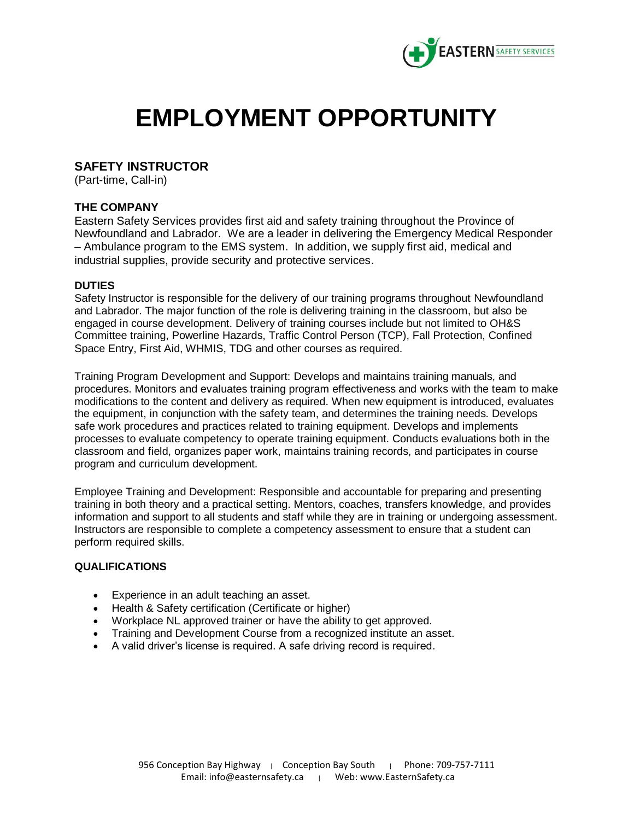

# **EMPLOYMENT OPPORTUNITY**

# **SAFETY INSTRUCTOR**

(Part-time, Call-in)

# **THE COMPANY**

Eastern Safety Services provides first aid and safety training throughout the Province of Newfoundland and Labrador. We are a leader in delivering the Emergency Medical Responder – Ambulance program to the EMS system. In addition, we supply first aid, medical and industrial supplies, provide security and protective services.

#### **DUTIES**

Safety Instructor is responsible for the delivery of our training programs throughout Newfoundland and Labrador. The major function of the role is delivering training in the classroom, but also be engaged in course development. Delivery of training courses include but not limited to OH&S Committee training, Powerline Hazards, Traffic Control Person (TCP), Fall Protection, Confined Space Entry, First Aid, WHMIS, TDG and other courses as required.

*Training Program Development and Support:* Develops and maintains training manuals, and procedures. Monitors and evaluates training program effectiveness and works with the team to make modifications to the content and delivery as required. When new equipment is introduced, evaluates the equipment, in conjunction with the safety team, and determines the training needs. Develops safe work procedures and practices related to training equipment. Develops and implements processes to evaluate competency to operate training equipment. Conducts evaluations both in the classroom and field, organizes paper work, maintains training records, and participates in course program and curriculum development.

*Employee Training and Development:* Responsible and accountable for preparing and presenting training in both theory and a practical setting. Mentors, coaches, transfers knowledge, and provides information and support to all students and staff while they are in training or undergoing assessment. Instructors are responsible to complete a competency assessment to ensure that a student can perform required skills.

## *QUALIFICATIONS*

- Experience in an adult teaching an asset.
- Health & Safety certification (Certificate or higher)
- Workplace NL approved trainer or have the ability to get approved.
- Training and Development Course from a recognized institute an asset.
- A valid driver's license is required. A safe driving record is required.